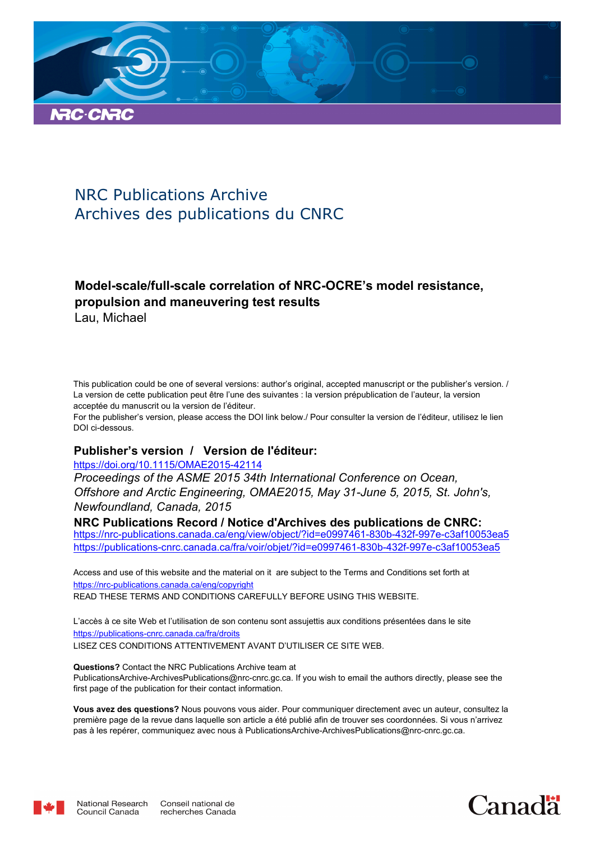

# NRC Publications Archive Archives des publications du CNRC

## **Model-scale/full-scale correlation of NRC-OCRE's model resistance, propulsion and maneuvering test results** Lau, Michael

This publication could be one of several versions: author's original, accepted manuscript or the publisher's version. / La version de cette publication peut être l'une des suivantes : la version prépublication de l'auteur, la version acceptée du manuscrit ou la version de l'éditeur.

For the publisher's version, please access the DOI link below./ Pour consulter la version de l'éditeur, utilisez le lien DOI ci-dessous.

## **Publisher's version / Version de l'éditeur:**

## https://doi.org/10.1115/OMAE2015-42114

*Proceedings of the ASME 2015 34th International Conference on Ocean, Offshore and Arctic Engineering, OMAE2015, May 31-June 5, 2015, St. John's, Newfoundland, Canada, 2015*

## **NRC Publications Record / Notice d'Archives des publications de CNRC:**

https://nrc-publications.canada.ca/eng/view/object/?id=e0997461-830b-432f-997e-c3af10053ea5 https://publications-cnrc.canada.ca/fra/voir/objet/?id=e0997461-830b-432f-997e-c3af10053ea5

READ THESE TERMS AND CONDITIONS CAREFULLY BEFORE USING THIS WEBSITE. https://nrc-publications.canada.ca/eng/copyright Access and use of this website and the material on it are subject to the Terms and Conditions set forth at

https://publications-cnrc.canada.ca/fra/droits L'accès à ce site Web et l'utilisation de son contenu sont assujettis aux conditions présentées dans le site LISEZ CES CONDITIONS ATTENTIVEMENT AVANT D'UTILISER CE SITE WEB.

**Questions?** Contact the NRC Publications Archive team at PublicationsArchive-ArchivesPublications@nrc-cnrc.gc.ca. If you wish to email the authors directly, please see the first page of the publication for their contact information.

**Vous avez des questions?** Nous pouvons vous aider. Pour communiquer directement avec un auteur, consultez la première page de la revue dans laquelle son article a été publié afin de trouver ses coordonnées. Si vous n'arrivez pas à les repérer, communiquez avec nous à PublicationsArchive-ArchivesPublications@nrc-cnrc.gc.ca.



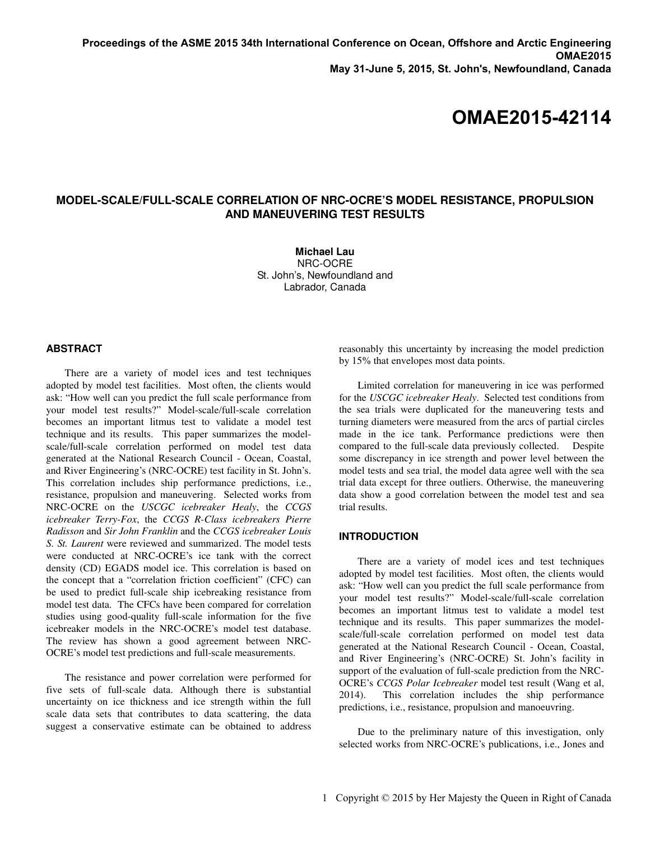## **OMAE2015-42114**

## **MODEL-SCALE/FULL-SCALE CORRELATION OF NRC-OCRE'S MODEL RESISTANCE, PROPULSION AND MANEUVERING TEST RESULTS**

**Michael Lau**  NRC-OCRE St. John's, Newfoundland and Labrador, Canada

#### **ABSTRACT**

There are a variety of model ices and test techniques adopted by model test facilities. Most often, the clients would ask: "How well can you predict the full scale performance from your model test results?" Model-scale/full-scale correlation becomes an important litmus test to validate a model test technique and its results. This paper summarizes the modelscale/full-scale correlation performed on model test data generated at the National Research Council - Ocean, Coastal, and River Engineering's (NRC-OCRE) test facility in St. John's. This correlation includes ship performance predictions, i.e., resistance, propulsion and maneuvering. Selected works from NRC-OCRE on the *USCGC icebreaker Healy*, the *CCGS icebreaker Terry-Fox*, the *CCGS R-Class icebreakers Pierre Radisson* and *Sir John Franklin* and the *CCGS icebreaker Louis S. St. Laurent* were reviewed and summarized. The model tests were conducted at NRC-OCRE's ice tank with the correct density (CD) EGADS model ice. This correlation is based on the concept that a "correlation friction coefficient" (CFC) can be used to predict full-scale ship icebreaking resistance from model test data. The CFCs have been compared for correlation studies using good-quality full-scale information for the five icebreaker models in the NRC-OCRE's model test database. The review has shown a good agreement between NRC-OCRE's model test predictions and full-scale measurements.

The resistance and power correlation were performed for five sets of full-scale data. Although there is substantial uncertainty on ice thickness and ice strength within the full scale data sets that contributes to data scattering, the data suggest a conservative estimate can be obtained to address reasonably this uncertainty by increasing the model prediction by 15% that envelopes most data points.

Limited correlation for maneuvering in ice was performed for the *USCGC icebreaker Healy*. Selected test conditions from the sea trials were duplicated for the maneuvering tests and turning diameters were measured from the arcs of partial circles made in the ice tank. Performance predictions were then compared to the full-scale data previously collected. Despite some discrepancy in ice strength and power level between the model tests and sea trial, the model data agree well with the sea trial data except for three outliers. Otherwise, the maneuvering data show a good correlation between the model test and sea trial results.

### **INTRODUCTION**

There are a variety of model ices and test techniques adopted by model test facilities. Most often, the clients would ask: "How well can you predict the full scale performance from your model test results?" Model-scale/full-scale correlation becomes an important litmus test to validate a model test technique and its results. This paper summarizes the modelscale/full-scale correlation performed on model test data generated at the National Research Council - Ocean, Coastal, and River Engineering's (NRC-OCRE) St. John's facility in support of the evaluation of full-scale prediction from the NRC-OCRE's *CCGS Polar Icebreaker* model test result (Wang et al, 2014). This correlation includes the ship performance predictions, i.e., resistance, propulsion and manoeuvring.

Due to the preliminary nature of this investigation, only selected works from NRC-OCRE's publications, i.e., Jones and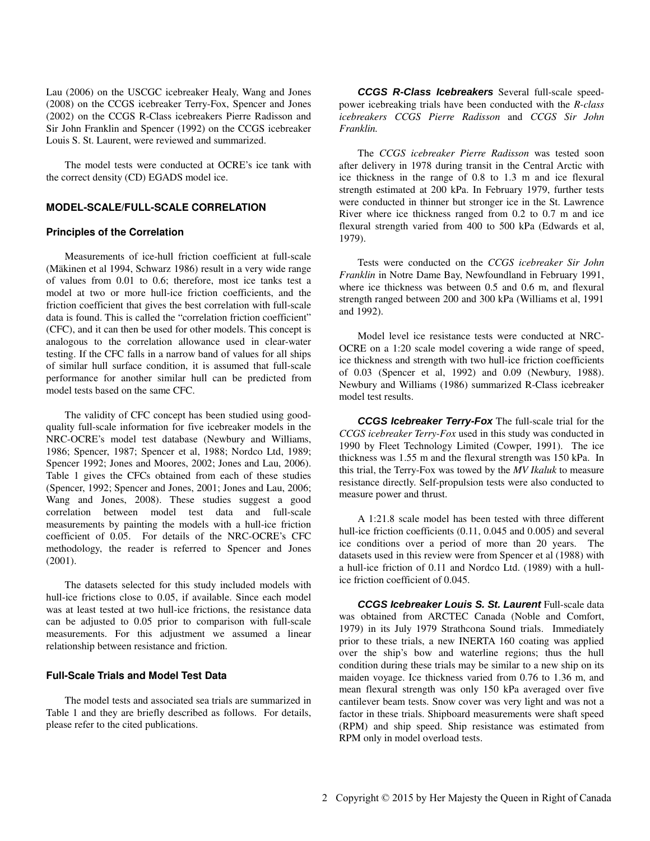Lau (2006) on the USCGC icebreaker Healy, Wang and Jones (2008) on the CCGS icebreaker Terry-Fox, Spencer and Jones (2002) on the CCGS R-Class icebreakers Pierre Radisson and Sir John Franklin and Spencer (1992) on the CCGS icebreaker Louis S. St. Laurent, were reviewed and summarized.

The model tests were conducted at OCRE's ice tank with the correct density (CD) EGADS model ice.

#### **MODEL-SCALE/FULL-SCALE CORRELATION**

#### **Principles of the Correlation**

Measurements of ice-hull friction coefficient at full-scale (Mäkinen et al 1994, Schwarz 1986) result in a very wide range of values from 0.01 to 0.6; therefore, most ice tanks test a model at two or more hull-ice friction coefficients, and the friction coefficient that gives the best correlation with full-scale data is found. This is called the "correlation friction coefficient" (CFC), and it can then be used for other models. This concept is analogous to the correlation allowance used in clear-water testing. If the CFC falls in a narrow band of values for all ships of similar hull surface condition, it is assumed that full-scale performance for another similar hull can be predicted from model tests based on the same CFC.

The validity of CFC concept has been studied using goodquality full-scale information for five icebreaker models in the NRC-OCRE's model test database (Newbury and Williams, 1986; Spencer, 1987; Spencer et al, 1988; Nordco Ltd, 1989; Spencer 1992; Jones and Moores, 2002; Jones and Lau, 2006). Table 1 gives the CFCs obtained from each of these studies (Spencer, 1992; Spencer and Jones, 2001; Jones and Lau, 2006; Wang and Jones, 2008). These studies suggest a good correlation between model test data and full-scale measurements by painting the models with a hull-ice friction coefficient of 0.05. For details of the NRC-OCRE's CFC methodology, the reader is referred to Spencer and Jones (2001).

The datasets selected for this study included models with hull-ice frictions close to 0.05, if available. Since each model was at least tested at two hull-ice frictions, the resistance data can be adjusted to 0.05 prior to comparison with full-scale measurements. For this adjustment we assumed a linear relationship between resistance and friction.

#### **Full-Scale Trials and Model Test Data**

The model tests and associated sea trials are summarized in Table 1 and they are briefly described as follows. For details, please refer to the cited publications.

**CCGS R-Class Icebreakers** Several full-scale speedpower icebreaking trials have been conducted with the *R-class icebreakers CCGS Pierre Radisson* and *CCGS Sir John Franklin.* 

The *CCGS icebreaker Pierre Radisson* was tested soon after delivery in 1978 during transit in the Central Arctic with ice thickness in the range of 0.8 to 1.3 m and ice flexural strength estimated at 200 kPa. In February 1979, further tests were conducted in thinner but stronger ice in the St. Lawrence River where ice thickness ranged from 0.2 to 0.7 m and ice flexural strength varied from 400 to 500 kPa (Edwards et al, 1979).

Tests were conducted on the *CCGS icebreaker Sir John Franklin* in Notre Dame Bay, Newfoundland in February 1991, where ice thickness was between 0.5 and 0.6 m, and flexural strength ranged between 200 and 300 kPa (Williams et al, 1991 and 1992).

Model level ice resistance tests were conducted at NRC-OCRE on a 1:20 scale model covering a wide range of speed, ice thickness and strength with two hull-ice friction coefficients of 0.03 (Spencer et al, 1992) and 0.09 (Newbury, 1988). Newbury and Williams (1986) summarized R-Class icebreaker model test results.

**CCGS Icebreaker Terry-Fox** The full-scale trial for the *CCGS icebreaker Terry-Fox* used in this study was conducted in 1990 by Fleet Technology Limited (Cowper, 1991). The ice thickness was 1.55 m and the flexural strength was 150 kPa. In this trial, the Terry-Fox was towed by the *MV Ikaluk* to measure resistance directly. Self-propulsion tests were also conducted to measure power and thrust.

A 1:21.8 scale model has been tested with three different hull-ice friction coefficients  $(0.11, 0.045, 0.005)$  and several ice conditions over a period of more than 20 years. The datasets used in this review were from Spencer et al (1988) with a hull-ice friction of 0.11 and Nordco Ltd. (1989) with a hullice friction coefficient of 0.045.

**CCGS Icebreaker Louis S. St. Laurent** Full-scale data was obtained from ARCTEC Canada (Noble and Comfort, 1979) in its July 1979 Strathcona Sound trials. Immediately prior to these trials, a new INERTA 160 coating was applied over the ship's bow and waterline regions; thus the hull condition during these trials may be similar to a new ship on its maiden voyage. Ice thickness varied from 0.76 to 1.36 m, and mean flexural strength was only 150 kPa averaged over five cantilever beam tests. Snow cover was very light and was not a factor in these trials. Shipboard measurements were shaft speed (RPM) and ship speed. Ship resistance was estimated from RPM only in model overload tests.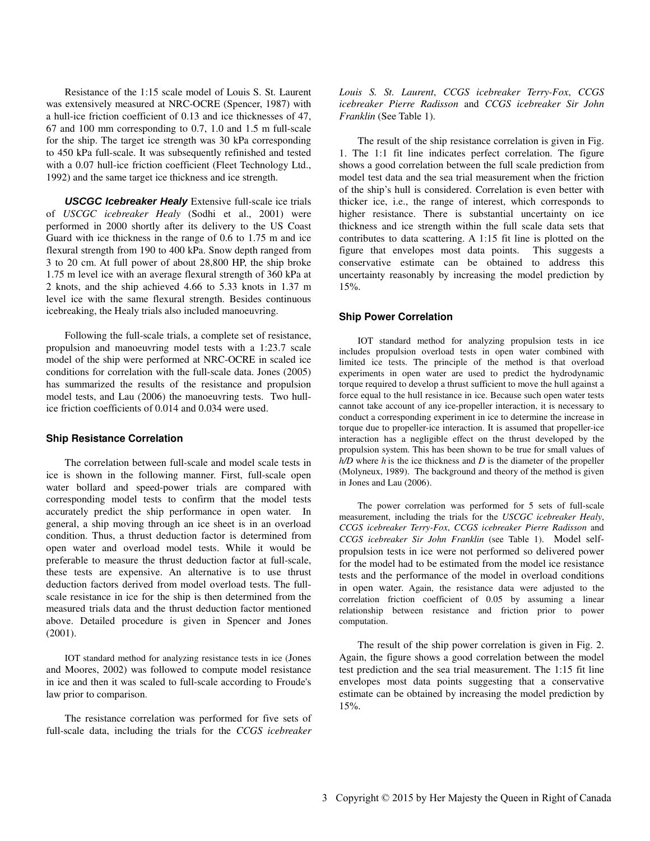Resistance of the 1:15 scale model of Louis S. St. Laurent was extensively measured at NRC-OCRE (Spencer, 1987) with a hull-ice friction coefficient of 0.13 and ice thicknesses of 47, 67 and 100 mm corresponding to 0.7, 1.0 and 1.5 m full-scale for the ship. The target ice strength was 30 kPa corresponding to 450 kPa full-scale. It was subsequently refinished and tested with a 0.07 hull-ice friction coefficient (Fleet Technology Ltd., 1992) and the same target ice thickness and ice strength.

**USCGC Icebreaker Healy** Extensive full-scale ice trials of *USCGC icebreaker Healy* (Sodhi et al., 2001) were performed in 2000 shortly after its delivery to the US Coast Guard with ice thickness in the range of 0.6 to 1.75 m and ice flexural strength from 190 to 400 kPa. Snow depth ranged from 3 to 20 cm. At full power of about 28,800 HP, the ship broke 1.75 m level ice with an average flexural strength of 360 kPa at 2 knots, and the ship achieved 4.66 to 5.33 knots in 1.37 m level ice with the same flexural strength. Besides continuous icebreaking, the Healy trials also included manoeuvring.

Following the full-scale trials, a complete set of resistance, propulsion and manoeuvring model tests with a 1:23.7 scale model of the ship were performed at NRC-OCRE in scaled ice conditions for correlation with the full-scale data. Jones (2005) has summarized the results of the resistance and propulsion model tests, and Lau (2006) the manoeuvring tests. Two hullice friction coefficients of 0.014 and 0.034 were used.

#### **Ship Resistance Correlation**

The correlation between full-scale and model scale tests in ice is shown in the following manner. First, full-scale open water bollard and speed-power trials are compared with corresponding model tests to confirm that the model tests accurately predict the ship performance in open water. In general, a ship moving through an ice sheet is in an overload condition. Thus, a thrust deduction factor is determined from open water and overload model tests. While it would be preferable to measure the thrust deduction factor at full-scale, these tests are expensive. An alternative is to use thrust deduction factors derived from model overload tests. The fullscale resistance in ice for the ship is then determined from the measured trials data and the thrust deduction factor mentioned above. Detailed procedure is given in Spencer and Jones (2001).

IOT standard method for analyzing resistance tests in ice (Jones and Moores, 2002) was followed to compute model resistance in ice and then it was scaled to full-scale according to Froude's law prior to comparison.

The resistance correlation was performed for five sets of full-scale data, including the trials for the *CCGS icebreaker* 

*Louis S. St. Laurent*, *CCGS icebreaker Terry-Fox*, *CCGS icebreaker Pierre Radisson* and *CCGS icebreaker Sir John Franklin* (See Table 1).

The result of the ship resistance correlation is given in Fig. 1. The 1:1 fit line indicates perfect correlation. The figure shows a good correlation between the full scale prediction from model test data and the sea trial measurement when the friction of the ship's hull is considered. Correlation is even better with thicker ice, i.e., the range of interest, which corresponds to higher resistance. There is substantial uncertainty on ice thickness and ice strength within the full scale data sets that contributes to data scattering. A 1:15 fit line is plotted on the figure that envelopes most data points. This suggests a conservative estimate can be obtained to address this uncertainty reasonably by increasing the model prediction by 15%.

#### **Ship Power Correlation**

IOT standard method for analyzing propulsion tests in ice includes propulsion overload tests in open water combined with limited ice tests. The principle of the method is that overload experiments in open water are used to predict the hydrodynamic torque required to develop a thrust sufficient to move the hull against a force equal to the hull resistance in ice. Because such open water tests cannot take account of any ice-propeller interaction, it is necessary to conduct a corresponding experiment in ice to determine the increase in torque due to propeller-ice interaction. It is assumed that propeller-ice interaction has a negligible effect on the thrust developed by the propulsion system. This has been shown to be true for small values of *h/D* where *h* is the ice thickness and *D* is the diameter of the propeller (Molyneux, 1989). The background and theory of the method is given in Jones and Lau (2006).

The power correlation was performed for 5 sets of full-scale measurement, including the trials for the *USCGC icebreaker Healy*, *CCGS icebreaker Terry-Fox*, *CCGS icebreaker Pierre Radisson* and *CCGS icebreaker Sir John Franklin* (see Table 1). Model selfpropulsion tests in ice were not performed so delivered power for the model had to be estimated from the model ice resistance tests and the performance of the model in overload conditions in open water. Again, the resistance data were adjusted to the correlation friction coefficient of 0.05 by assuming a linear relationship between resistance and friction prior to power computation.

The result of the ship power correlation is given in Fig. 2. Again, the figure shows a good correlation between the model test prediction and the sea trial measurement. The 1:15 fit line envelopes most data points suggesting that a conservative estimate can be obtained by increasing the model prediction by 15%.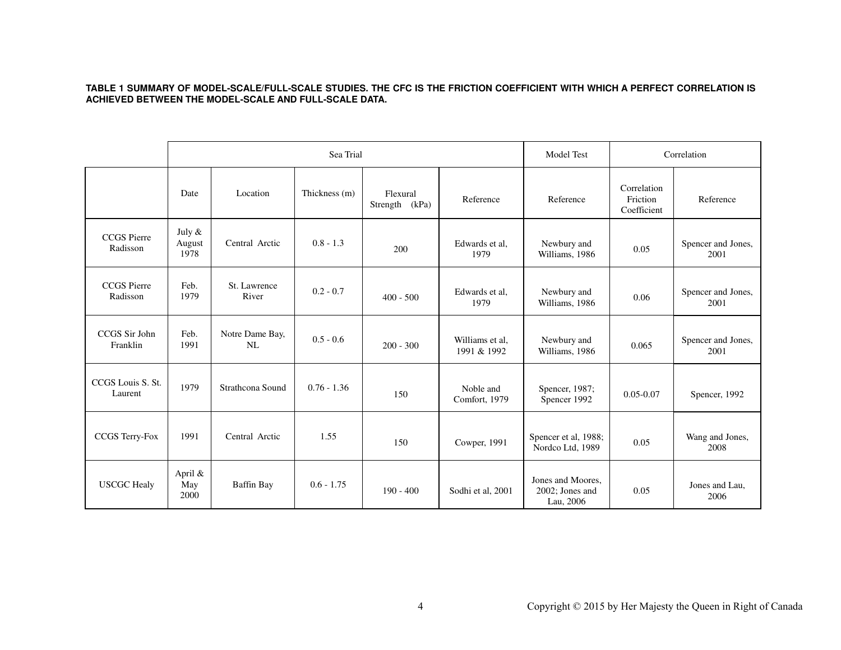**TABLE 1 SUMMARY OF MODEL-SCALE/FULL-SCALE STUDIES. THE CFC IS THE FRICTION COEFFICIENT WITH WHICH A PERFECT CORRELATION IS ACHIEVED BETWEEN THE MODEL-SCALE AND FULL-SCALE DATA.** 

|                                | Sea Trial                   |                       |               |                            |                                | <b>Model Test</b>                                 | Correlation                            |                            |
|--------------------------------|-----------------------------|-----------------------|---------------|----------------------------|--------------------------------|---------------------------------------------------|----------------------------------------|----------------------------|
|                                | Date                        | Location              | Thickness (m) | Flexural<br>Strength (kPa) | Reference                      | Reference                                         | Correlation<br>Friction<br>Coefficient | Reference                  |
| <b>CCGS</b> Pierre<br>Radisson | July $\&$<br>August<br>1978 | Central Arctic        | $0.8 - 1.3$   | 200                        | Edwards et al.<br>1979         | Newbury and<br>Williams, 1986                     | 0.05                                   | Spencer and Jones,<br>2001 |
| <b>CCGS</b> Pierre<br>Radisson | Feb.<br>1979                | St. Lawrence<br>River | $0.2 - 0.7$   | $400 - 500$                | Edwards et al,<br>1979         | Newbury and<br>Williams, 1986                     | 0.06                                   | Spencer and Jones,<br>2001 |
| CCGS Sir John<br>Franklin      | Feb.<br>1991                | Notre Dame Bay,<br>NL | $0.5 - 0.6$   | $200 - 300$                | Williams et al.<br>1991 & 1992 | Newbury and<br>Williams, 1986                     | 0.065                                  | Spencer and Jones,<br>2001 |
| CCGS Louis S. St.<br>Laurent   | 1979                        | Strathcona Sound      | $0.76 - 1.36$ | 150                        | Noble and<br>Comfort, 1979     | Spencer, 1987;<br>Spencer 1992                    | $0.05 - 0.07$                          | Spencer, 1992              |
| CCGS Terry-Fox                 | 1991                        | Central Arctic        | 1.55          | 150                        | Cowper, 1991                   | Spencer et al, 1988;<br>Nordco Ltd, 1989          | 0.05                                   | Wang and Jones,<br>2008    |
| <b>USCGC Healy</b>             | April &<br>May<br>2000      | <b>Baffin Bay</b>     | $0.6 - 1.75$  | $190 - 400$                | Sodhi et al, 2001              | Jones and Moores,<br>2002; Jones and<br>Lau, 2006 | 0.05                                   | Jones and Lau,<br>2006     |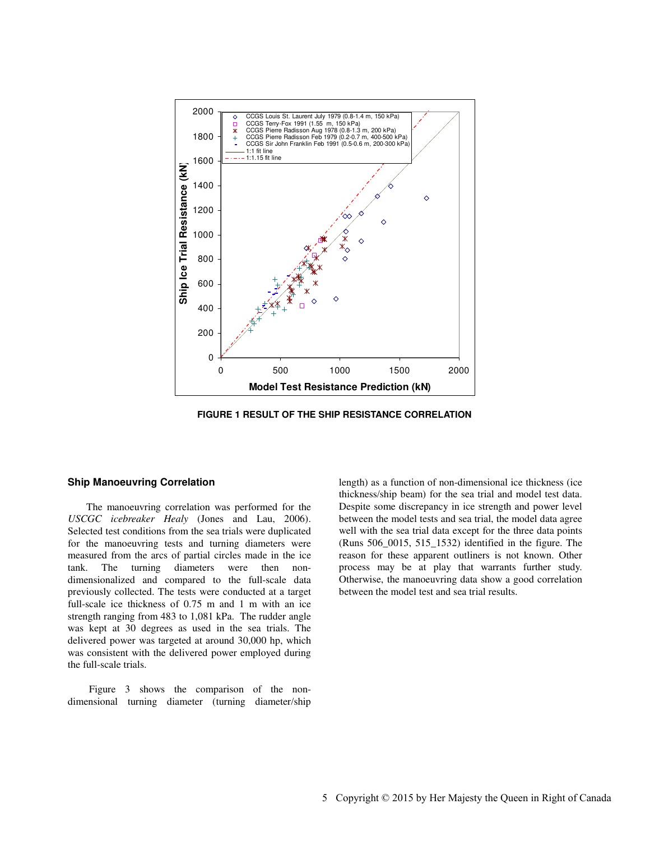

**FIGURE 1 RESULT OF THE SHIP RESISTANCE CORRELATION** 

#### **Ship Manoeuvring Correlation**

The manoeuvring correlation was performed for the *USCGC icebreaker Healy* (Jones and Lau, 2006). Selected test conditions from the sea trials were duplicated for the manoeuvring tests and turning diameters were measured from the arcs of partial circles made in the ice tank. The turning diameters were then nondimensionalized and compared to the full-scale data previously collected. The tests were conducted at a target full-scale ice thickness of 0.75 m and 1 m with an ice strength ranging from 483 to 1,081 kPa. The rudder angle was kept at 30 degrees as used in the sea trials. The delivered power was targeted at around 30,000 hp, which was consistent with the delivered power employed during the full-scale trials.

 Figure 3 shows the comparison of the nondimensional turning diameter (turning diameter/ship length) as a function of non-dimensional ice thickness (ice thickness/ship beam) for the sea trial and model test data. Despite some discrepancy in ice strength and power level between the model tests and sea trial, the model data agree well with the sea trial data except for the three data points (Runs 506\_0015, 515\_1532) identified in the figure. The reason for these apparent outliners is not known. Other process may be at play that warrants further study. Otherwise, the manoeuvring data show a good correlation between the model test and sea trial results.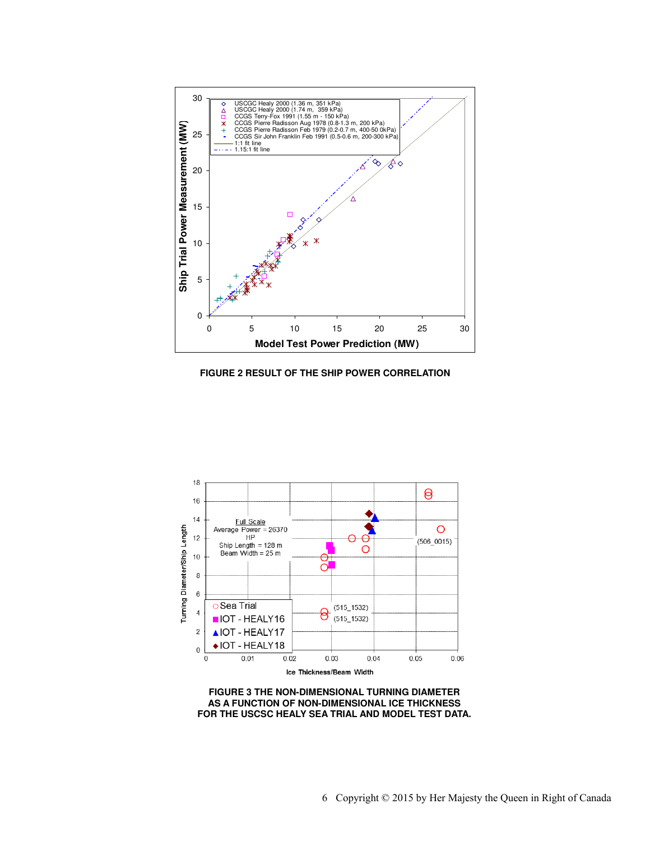

**FIGURE 2 RESULT OF THE SHIP POWER CORRELATION** 



**FIGURE 3 THE NON-DIMENSIONAL TURNING DIAMETER AS A FUNCTION OF NON-DIMENSIONAL ICE THICKNESS FOR THE USCSC HEALY SEA TRIAL AND MODEL TEST DATA.**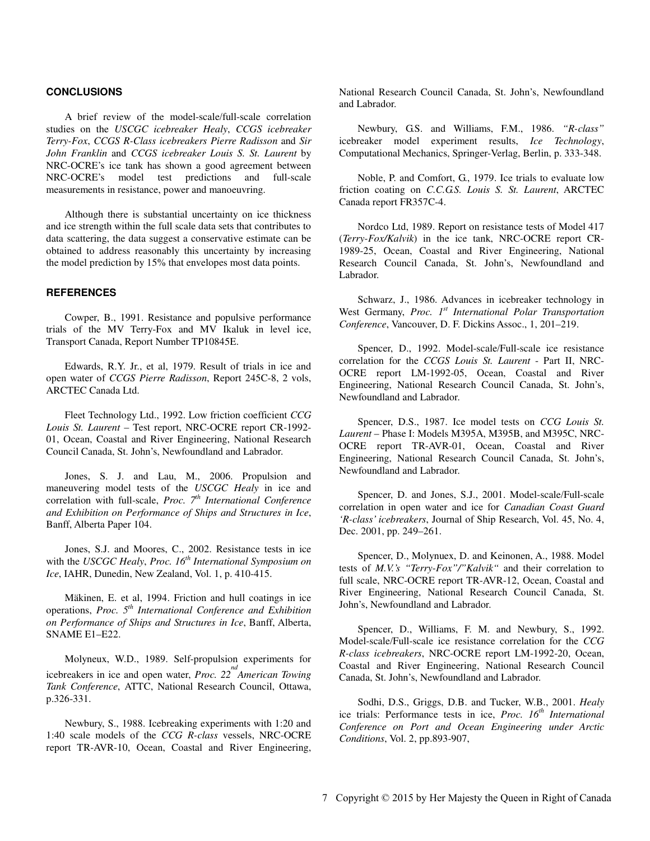#### **CONCLUSIONS**

A brief review of the model-scale/full-scale correlation studies on the *USCGC icebreaker Healy*, *CCGS icebreaker Terry-Fox*, *CCGS R-Class icebreakers Pierre Radisson* and *Sir John Franklin* and *CCGS icebreaker Louis S. St. Laurent* by NRC-OCRE's ice tank has shown a good agreement between NRC-OCRE's model test predictions and full-scale measurements in resistance, power and manoeuvring.

Although there is substantial uncertainty on ice thickness and ice strength within the full scale data sets that contributes to data scattering, the data suggest a conservative estimate can be obtained to address reasonably this uncertainty by increasing the model prediction by 15% that envelopes most data points.

#### **REFERENCES**

Cowper, B., 1991. Resistance and populsive performance trials of the MV Terry-Fox and MV Ikaluk in level ice, Transport Canada, Report Number TP10845E.

Edwards, R.Y. Jr., et al, 1979. Result of trials in ice and open water of *CCGS Pierre Radisson*, Report 245C-8, 2 vols, ARCTEC Canada Ltd.

Fleet Technology Ltd., 1992. Low friction coefficient *CCG Louis St. Laurent* – Test report, NRC-OCRE report CR-1992- 01, Ocean, Coastal and River Engineering, National Research Council Canada, St. John's, Newfoundland and Labrador.

Jones, S. J. and Lau, M., 2006. Propulsion and maneuvering model tests of the *USCGC Healy* in ice and correlation with full-scale, *Proc. 7th International Conference and Exhibition on Performance of Ships and Structures in Ice*, Banff, Alberta Paper 104.

Jones, S.J. and Moores, C., 2002. Resistance tests in ice with the *USCGC Healy*, *Proc. 16th International Symposium on Ice*, IAHR, Dunedin, New Zealand, Vol. 1, p. 410-415.

Mäkinen, E. et al, 1994. Friction and hull coatings in ice operations, *Proc. 5th International Conference and Exhibition on Performance of Ships and Structures in Ice*, Banff, Alberta, SNAME E1–E22.

Molyneux, W.D., 1989. Self-propulsion experiments for icebreakers in ice and open water, *Proc.* 22<sup>nd</sup> American Towing *Tank Conference*, ATTC, National Research Council, Ottawa, p.326-331.

Newbury, S., 1988. Icebreaking experiments with 1:20 and 1:40 scale models of the *CCG R-class* vessels, NRC-OCRE report TR-AVR-10, Ocean, Coastal and River Engineering, National Research Council Canada, St. John's, Newfoundland and Labrador.

Newbury, G.S. and Williams, F.M., 1986. *"R-class"* icebreaker model experiment results, *Ice Technology*, Computational Mechanics, Springer-Verlag, Berlin, p. 333-348.

Noble, P. and Comfort, G., 1979. Ice trials to evaluate low friction coating on *C.C.G.S. Louis S. St. Laurent*, ARCTEC Canada report FR357C-4.

Nordco Ltd, 1989. Report on resistance tests of Model 417 (*Terry-Fox/Kalvik*) in the ice tank, NRC-OCRE report CR-1989-25, Ocean, Coastal and River Engineering, National Research Council Canada, St. John's, Newfoundland and Labrador.

Schwarz, J., 1986. Advances in icebreaker technology in West Germany, *Proc. 1st International Polar Transportation Conference*, Vancouver, D. F. Dickins Assoc., 1, 201–219.

Spencer, D., 1992. Model-scale/Full-scale ice resistance correlation for the *CCGS Louis St. Laurent* - Part II, NRC-OCRE report LM-1992-05, Ocean, Coastal and River Engineering, National Research Council Canada, St. John's, Newfoundland and Labrador.

Spencer, D.S., 1987. Ice model tests on *CCG Louis St. Laurent* – Phase I: Models M395A, M395B, and M395C, NRC-OCRE report TR-AVR-01, Ocean, Coastal and River Engineering, National Research Council Canada, St. John's, Newfoundland and Labrador.

Spencer, D. and Jones, S.J., 2001. Model-scale/Full-scale correlation in open water and ice for *Canadian Coast Guard 'R-class' icebreakers*, Journal of Ship Research, Vol. 45, No. 4, Dec. 2001, pp. 249–261.

Spencer, D., Molynuex, D. and Keinonen, A., 1988. Model tests of *M.V.'s "Terry-Fox"/"Kalvik"* and their correlation to full scale, NRC-OCRE report TR-AVR-12, Ocean, Coastal and River Engineering, National Research Council Canada, St. John's, Newfoundland and Labrador.

Spencer, D., Williams, F. M. and Newbury, S., 1992. Model-scale/Full-scale ice resistance correlation for the *CCG R-class icebreakers*, NRC-OCRE report LM-1992-20, Ocean, Coastal and River Engineering, National Research Council Canada, St. John's, Newfoundland and Labrador.

Sodhi, D.S., Griggs, D.B. and Tucker, W.B., 2001. *Healy* ice trials: Performance tests in ice, *Proc. 16th International Conference on Port and Ocean Engineering under Arctic Conditions*, Vol. 2, pp.893-907,